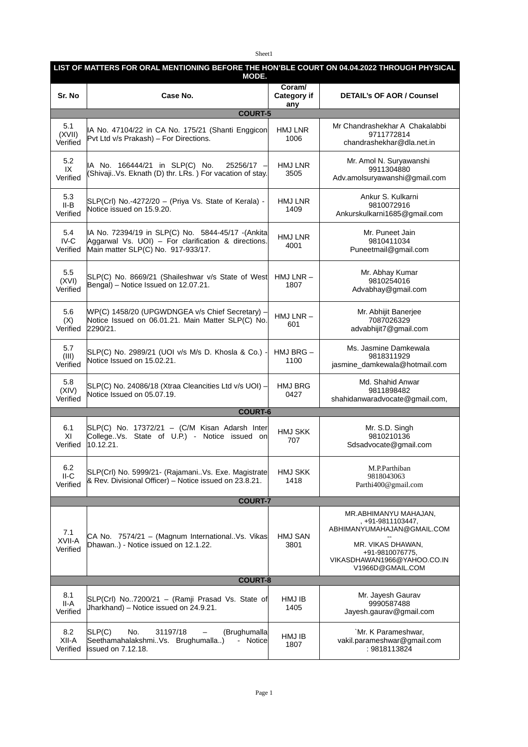Sheet1

| LIST OF MATTERS FOR ORAL MENTIONING BEFORE THE HON'BLE COURT ON 04.04.2022 THROUGH PHYSICAL<br>MODE. |                                                                                                                                                |                              |                                                                                                                                                                     |  |  |  |
|------------------------------------------------------------------------------------------------------|------------------------------------------------------------------------------------------------------------------------------------------------|------------------------------|---------------------------------------------------------------------------------------------------------------------------------------------------------------------|--|--|--|
| Sr. No                                                                                               | Case No.                                                                                                                                       | Coraml<br>Category if<br>any | <b>DETAIL's OF AOR / Counsel</b>                                                                                                                                    |  |  |  |
|                                                                                                      | <b>COURT-5</b>                                                                                                                                 |                              |                                                                                                                                                                     |  |  |  |
| 5.1<br>(XVII)<br>Verified                                                                            | IA No. 47104/22 in CA No. 175/21 (Shanti Enggicon<br>Pvt Ltd v/s Prakash) - For Directions.                                                    | HMJ LNR<br>1006              | Mr Chandrashekhar A Chakalabbi<br>9711772814<br>chandrashekhar@dla.net.in                                                                                           |  |  |  |
| 5.2<br>IX<br>Verified                                                                                | IA No. 166444/21 in SLP(C) No.<br>25256/17 -<br>(ShivajiVs. Eknath (D) thr. LRs.) For vacation of stay.                                        | HMJ LNR<br>3505              | Mr. Amol N. Suryawanshi<br>9911304880<br>Adv.amolsuryawanshi@gmail.com                                                                                              |  |  |  |
| 5.3<br>$II-B$<br>Verified                                                                            | SLP(Crl) No.-4272/20 - (Priya Vs. State of Kerala) -<br>Notice issued on 15.9.20.                                                              | HMJ LNR<br>1409              | Ankur S. Kulkarni<br>9810072916<br>Ankurskulkarni1685@gmail.com                                                                                                     |  |  |  |
| 5.4<br>IV-C<br>Verified                                                                              | IA No. 72394/19 in SLP(C) No. 5844-45/17 -(Ankita<br>Aggarwal Vs. UOI) - For clarification & directions.<br>Main matter SLP(C) No. 917-933/17. | HMJ LNR<br>4001              | Mr. Puneet Jain<br>9810411034<br>Puneetmail@gmail.com                                                                                                               |  |  |  |
| 5.5<br>(XVI)<br>Verified                                                                             | SLP(C) No. 8669/21 (Shaileshwar v/s State of West<br>Bengal) - Notice Issued on 12.07.21.                                                      | $HMJ LNR -$<br>1807          | Mr. Abhay Kumar<br>9810254016<br>Advabhay@gmail.com                                                                                                                 |  |  |  |
| 5.6<br>(X)<br>Verified                                                                               | WP(C) 1458/20 (UPGWDNGEA v/s Chief Secretary) -<br>Notice Issued on 06.01.21. Main Matter SLP(C) No.<br>2290/21.                               | $HMJ LNR -$<br>601           | Mr. Abhijit Banerjee<br>7087026329<br>advabhijit7@gmail.com                                                                                                         |  |  |  |
| 5.7<br>(III)<br>Verified                                                                             | SLP(C) No. 2989/21 (UOI v/s M/s D. Khosla & Co.) -<br>Notice Issued on 15.02.21.                                                               | $HMJ$ BRG $-$<br>1100        | Ms. Jasmine Damkewala<br>9818311929<br>jasmine_damkewala@hotmail.com                                                                                                |  |  |  |
| 5.8<br>(XIV)<br>Verified                                                                             | SLP(C) No. 24086/18 (Xtraa Cleancities Ltd v/s UOI) -<br>Notice Issued on 05.07.19.                                                            | <b>HMJ BRG</b><br>0427       | Md. Shahid Anwar<br>9811898482<br>shahidanwaradvocate@gmail.com,                                                                                                    |  |  |  |
| <b>COURT-6</b>                                                                                       |                                                                                                                                                |                              |                                                                                                                                                                     |  |  |  |
| 6.1<br>XI<br>Verified                                                                                | SLP(C) No. 17372/21 - (C/M Kisan Adarsh Inter<br>College. Vs. State of U.P.) - Notice issued on<br>10.12.21.                                   | <b>HMJ SKK</b><br>707        | Mr. S.D. Singh<br>9810210136<br>Sdsadvocate@gmail.com                                                                                                               |  |  |  |
| 6.2<br>II-C<br>Verified                                                                              | SLP(Crl) No. 5999/21- (RajamaniVs. Exe. Magistrate<br>& Rev. Divisional Officer) – Notice issued on 23.8.21.                                   | <b>HMJ SKK</b><br>1418       | M.P.Parthiban<br>9818043063<br>Parthi400@gmail.com                                                                                                                  |  |  |  |
|                                                                                                      | <b>COURT-7</b>                                                                                                                                 |                              |                                                                                                                                                                     |  |  |  |
| 7.1<br>XVII-A<br>Verified                                                                            | CA No. 7574/21 - (Magnum International. Vs. Vikas<br>Dhawan) - Notice issued on 12.1.22.                                                       | HMJ SAN<br>3801              | MR.ABHIMANYU MAHAJAN,<br>, +91-9811103447,<br>ABHIMANYUMAHAJAN@GMAIL.COM<br>MR. VIKAS DHAWAN,<br>+91-9810076775,<br>VIKASDHAWAN1966@YAHOO.CO.IN<br>V1966D@GMAIL.COM |  |  |  |
|                                                                                                      | <b>COURT-8</b>                                                                                                                                 |                              |                                                                                                                                                                     |  |  |  |
| 8.1<br>II-A<br>Verified                                                                              | SLP(Crl) No7200/21 - (Ramji Prasad Vs. State of<br>Jharkhand) - Notice issued on 24.9.21.                                                      | HMJ IB<br>1405               | Mr. Jayesh Gaurav<br>9990587488<br>Jayesh.gaurav@gmail.com                                                                                                          |  |  |  |
| 8.2<br>XII-A<br>Verified                                                                             | SLP(C)<br>(Brughumalla<br>No.<br>31197/18<br>SeethamahalakshmiVs. Brughumalla)<br>- Notice<br>issued on 7.12.18.                               | HMJ IB<br>1807               | `Mr. K Parameshwar,<br>vakil.parameshwar@gmail.com<br>: 9818113824                                                                                                  |  |  |  |